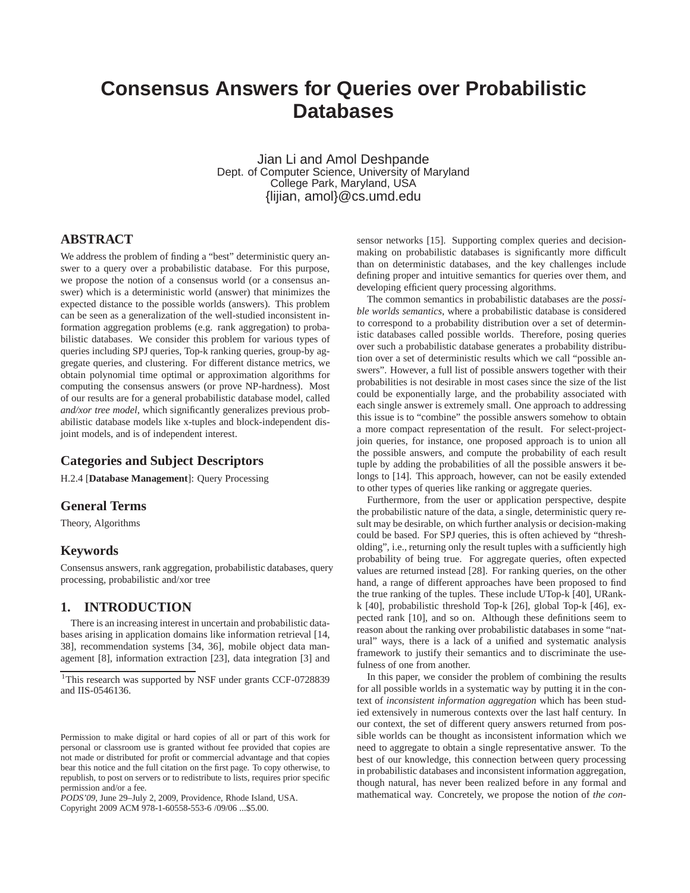# **Consensus Answers for Queries over Probabilistic Databases**

Jian Li and Amol Deshpande Dept. of Computer Science, University of Maryland College Park, Maryland, USA {lijian, amol}@cs.umd.edu

# **ABSTRACT**

We address the problem of finding a "best" deterministic query answer to a query over a probabilistic database. For this purpose, we propose the notion of a consensus world (or a consensus answer) which is a deterministic world (answer) that minimizes the expected distance to the possible worlds (answers). This problem can be seen as a generalization of the well-studied inconsistent information aggregation problems (e.g. rank aggregation) to probabilistic databases. We consider this problem for various types of queries including SPJ queries, Top-k ranking queries, group-by aggregate queries, and clustering. For different distance metrics, we obtain polynomial time optimal or approximation algorithms for computing the consensus answers (or prove NP-hardness). Most of our results are for a general probabilistic database model, called *and/xor tree model*, which significantly generalizes previous probabilistic database models like x-tuples and block-independent disjoint models, and is of independent interest.

# **Categories and Subject Descriptors**

H.2.4 [**Database Management**]: Query Processing

#### **General Terms**

Theory, Algorithms

# **Keywords**

Consensus answers, rank aggregation, probabilistic databases, query processing, probabilistic and/xor tree

# **1. INTRODUCTION**

There is an increasing interest in uncertain and probabilistic databases arising in application domains like information retrieval [14, 38], recommendation systems [34, 36], mobile object data management [8], information extraction [23], data integration [3] and

*PODS'09,* June 29–July 2, 2009, Providence, Rhode Island, USA.

Copyright 2009 ACM 978-1-60558-553-6 /09/06 ...\$5.00.

sensor networks [15]. Supporting complex queries and decisionmaking on probabilistic databases is significantly more difficult than on deterministic databases, and the key challenges include defining proper and intuitive semantics for queries over them, and developing efficient query processing algorithms.

The common semantics in probabilistic databases are the *possible worlds semantics*, where a probabilistic database is considered to correspond to a probability distribution over a set of deterministic databases called possible worlds. Therefore, posing queries over such a probabilistic database generates a probability distribution over a set of deterministic results which we call "possible answers". However, a full list of possible answers together with their probabilities is not desirable in most cases since the size of the list could be exponentially large, and the probability associated with each single answer is extremely small. One approach to addressing this issue is to "combine" the possible answers somehow to obtain a more compact representation of the result. For select-projectjoin queries, for instance, one proposed approach is to union all the possible answers, and compute the probability of each result tuple by adding the probabilities of all the possible answers it belongs to [14]. This approach, however, can not be easily extended to other types of queries like ranking or aggregate queries.

Furthermore, from the user or application perspective, despite the probabilistic nature of the data, a single, deterministic query result may be desirable, on which further analysis or decision-making could be based. For SPJ queries, this is often achieved by "thresholding", i.e., returning only the result tuples with a sufficiently high probability of being true. For aggregate queries, often expected values are returned instead [28]. For ranking queries, on the other hand, a range of different approaches have been proposed to find the true ranking of the tuples. These include UTop-k [40], URankk [40], probabilistic threshold Top-k [26], global Top-k [46], expected rank [10], and so on. Although these definitions seem to reason about the ranking over probabilistic databases in some "natural" ways, there is a lack of a unified and systematic analysis framework to justify their semantics and to discriminate the usefulness of one from another.

In this paper, we consider the problem of combining the results for all possible worlds in a systematic way by putting it in the context of *inconsistent information aggregation* which has been studied extensively in numerous contexts over the last half century. In our context, the set of different query answers returned from possible worlds can be thought as inconsistent information which we need to aggregate to obtain a single representative answer. To the best of our knowledge, this connection between query processing in probabilistic databases and inconsistent information aggregation, though natural, has never been realized before in any formal and mathematical way. Concretely, we propose the notion of *the con-*

<sup>&</sup>lt;sup>1</sup>This research was supported by NSF under grants CCF-0728839 and IIS-0546136.

Permission to make digital or hard copies of all or part of this work for personal or classroom use is granted without fee provided that copies are not made or distributed for profit or commercial advantage and that copies bear this notice and the full citation on the first page. To copy otherwise, to republish, to post on servers or to redistribute to lists, requires prior specific permission and/or a fee.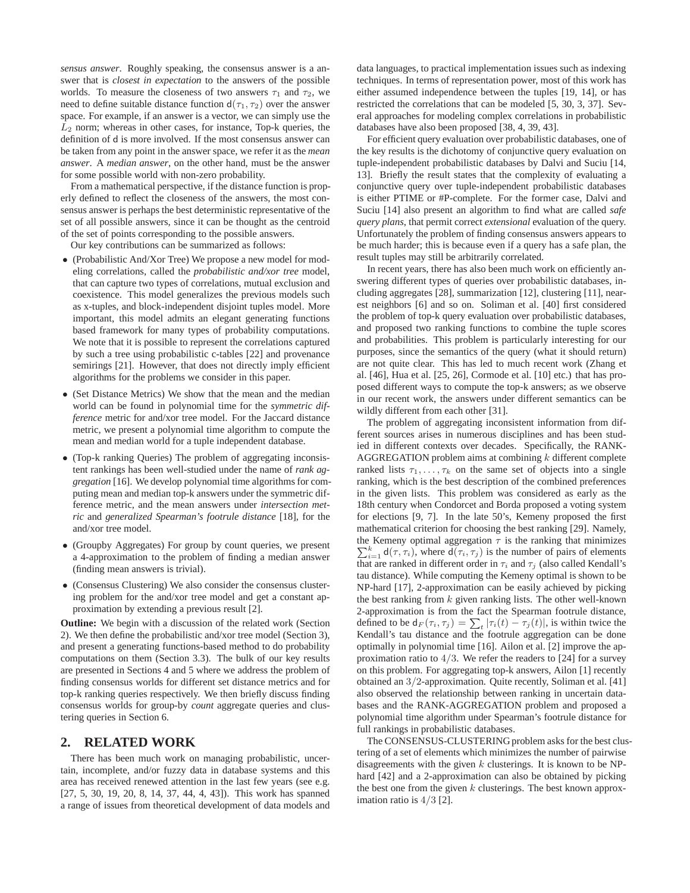*sensus answer*. Roughly speaking, the consensus answer is a answer that is *closest in expectation* to the answers of the possible worlds. To measure the closeness of two answers  $\tau_1$  and  $\tau_2$ , we need to define suitable distance function  $d(\tau_1, \tau_2)$  over the answer space. For example, if an answer is a vector, we can simply use the  $L_2$  norm; whereas in other cases, for instance, Top-k queries, the definition of d is more involved. If the most consensus answer can be taken from any point in the answer space, we refer it as the *mean answer*. A *median answer*, on the other hand, must be the answer for some possible world with non-zero probability.

From a mathematical perspective, if the distance function is properly defined to reflect the closeness of the answers, the most consensus answer is perhaps the best deterministic representative of the set of all possible answers, since it can be thought as the centroid of the set of points corresponding to the possible answers.

Our key contributions can be summarized as follows:

- (Probabilistic And/Xor Tree) We propose a new model for modeling correlations, called the *probabilistic and/xor tree* model, that can capture two types of correlations, mutual exclusion and coexistence. This model generalizes the previous models such as x-tuples, and block-independent disjoint tuples model. More important, this model admits an elegant generating functions based framework for many types of probability computations. We note that it is possible to represent the correlations captured by such a tree using probabilistic c-tables [22] and provenance semirings [21]. However, that does not directly imply efficient algorithms for the problems we consider in this paper.
- (Set Distance Metrics) We show that the mean and the median world can be found in polynomial time for the *symmetric difference* metric for and/xor tree model. For the Jaccard distance metric, we present a polynomial time algorithm to compute the mean and median world for a tuple independent database.
- (Top-k ranking Queries) The problem of aggregating inconsistent rankings has been well-studied under the name of *rank aggregation* [16]. We develop polynomial time algorithms for computing mean and median top-k answers under the symmetric difference metric, and the mean answers under *intersection metric* and *generalized Spearman's footrule distance* [18], for the and/xor tree model.
- (Groupby Aggregates) For group by count queries, we present a 4-approximation to the problem of finding a median answer (finding mean answers is trivial).
- (Consensus Clustering) We also consider the consensus clustering problem for the and/xor tree model and get a constant approximation by extending a previous result [2].

**Outline:** We begin with a discussion of the related work (Section 2). We then define the probabilistic and/xor tree model (Section 3), and present a generating functions-based method to do probability computations on them (Section 3.3). The bulk of our key results are presented in Sections 4 and 5 where we address the problem of finding consensus worlds for different set distance metrics and for top-k ranking queries respectively. We then briefly discuss finding consensus worlds for group-by *count* aggregate queries and clustering queries in Section 6.

# **2. RELATED WORK**

There has been much work on managing probabilistic, uncertain, incomplete, and/or fuzzy data in database systems and this area has received renewed attention in the last few years (see e.g. [27, 5, 30, 19, 20, 8, 14, 37, 44, 4, 43]). This work has spanned a range of issues from theoretical development of data models and data languages, to practical implementation issues such as indexing techniques. In terms of representation power, most of this work has either assumed independence between the tuples [19, 14], or has restricted the correlations that can be modeled [5, 30, 3, 37]. Several approaches for modeling complex correlations in probabilistic databases have also been proposed [38, 4, 39, 43].

For efficient query evaluation over probabilistic databases, one of the key results is the dichotomy of conjunctive query evaluation on tuple-independent probabilistic databases by Dalvi and Suciu [14, 13]. Briefly the result states that the complexity of evaluating a conjunctive query over tuple-independent probabilistic databases is either PTIME or #P-complete. For the former case, Dalvi and Suciu [14] also present an algorithm to find what are called *safe query plans*, that permit correct *extensional* evaluation of the query. Unfortunately the problem of finding consensus answers appears to be much harder; this is because even if a query has a safe plan, the result tuples may still be arbitrarily correlated.

In recent years, there has also been much work on efficiently answering different types of queries over probabilistic databases, including aggregates [28], summarization [12], clustering [11], nearest neighbors [6] and so on. Soliman et al. [40] first considered the problem of top-k query evaluation over probabilistic databases, and proposed two ranking functions to combine the tuple scores and probabilities. This problem is particularly interesting for our purposes, since the semantics of the query (what it should return) are not quite clear. This has led to much recent work (Zhang et al. [46], Hua et al. [25, 26], Cormode et al. [10] etc.) that has proposed different ways to compute the top-k answers; as we observe in our recent work, the answers under different semantics can be wildly different from each other [31].

The problem of aggregating inconsistent information from different sources arises in numerous disciplines and has been studied in different contexts over decades. Specifically, the RANK-AGGREGATION problem aims at combining  $k$  different complete ranked lists  $\tau_1, \ldots, \tau_k$  on the same set of objects into a single ranking, which is the best description of the combined preferences in the given lists. This problem was considered as early as the 18th century when Condorcet and Borda proposed a voting system for elections [9, 7]. In the late 50's, Kemeny proposed the first mathematical criterion for choosing the best ranking [29]. Namely,  $\sum_{i=1}^{k} d(\tau, \tau_i)$ , where  $d(\tau_i, \tau_j)$  is the number of pairs of elements the Kemeny optimal aggregation  $\tau$  is the ranking that minimizes that are ranked in different order in  $\tau_i$  and  $\tau_j$  (also called Kendall's tau distance). While computing the Kemeny optimal is shown to be NP-hard [17], 2-approximation can be easily achieved by picking the best ranking from  $k$  given ranking lists. The other well-known 2-approximation is from the fact the Spearman footrule distance, defined to be  $d_F(\tau_i, \tau_j) = \sum_t |\tau_i(t) - \tau_j(t)|$ , is within twice the Kendall's tau distance and the footrule aggregation can be done optimally in polynomial time [16]. Ailon et al. [2] improve the approximation ratio to  $4/3$ . We refer the readers to [24] for a survey on this problem. For aggregating top-k answers, Ailon [1] recently obtained an 3/2-approximation. Quite recently, Soliman et al. [41] also observed the relationship between ranking in uncertain databases and the RANK-AGGREGATION problem and proposed a polynomial time algorithm under Spearman's footrule distance for full rankings in probabilistic databases.

The CONSENSUS-CLUSTERING problem asks for the best clustering of a set of elements which minimizes the number of pairwise disagreements with the given  $k$  clusterings. It is known to be NPhard [42] and a 2-approximation can also be obtained by picking the best one from the given  $k$  clusterings. The best known approximation ratio is  $4/3$  [2].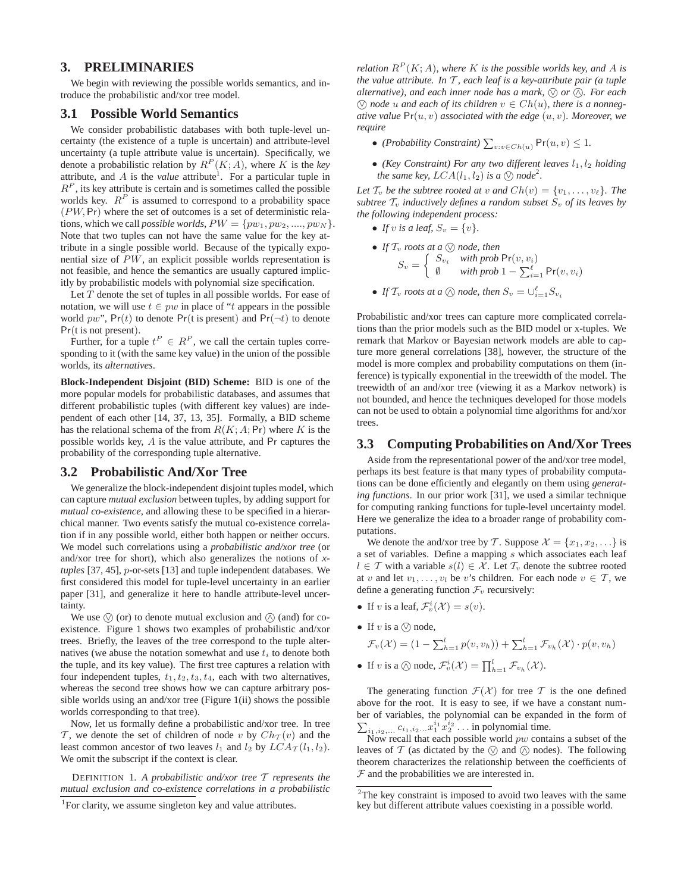# **3. PRELIMINARIES**

We begin with reviewing the possible worlds semantics, and introduce the probabilistic and/xor tree model.

## **3.1 Possible World Semantics**

We consider probabilistic databases with both tuple-level uncertainty (the existence of a tuple is uncertain) and attribute-level uncertainty (a tuple attribute value is uncertain). Specifically, we denote a probabilistic relation by  $R^P(K;A)$ , where K is the *key* attribute, and  $\vec{A}$  is the *value* attribute<sup>1</sup>. For a particular tuple in  $R<sup>P</sup>$ , its key attribute is certain and is sometimes called the possible worlds key.  $R^P$  is assumed to correspond to a probability space (PW,Pr) where the set of outcomes is a set of deterministic relations, which we call *possible worlds*,  $PW = \{pw_1, pw_2, \ldots, pw_N\}$ . Note that two tuples can not have the same value for the key attribute in a single possible world. Because of the typically exponential size of PW, an explicit possible worlds representation is not feasible, and hence the semantics are usually captured implicitly by probabilistic models with polynomial size specification.

Let  $T$  denote the set of tuples in all possible worlds. For ease of notation, we will use  $t \in pw$  in place of "t appears in the possible world pw",  $Pr(t)$  to denote  $Pr(t$  is present) and  $Pr(\neg t)$  to denote Pr(t is not present).

Further, for a tuple  $t^P \in R^P$ , we call the certain tuples corresponding to it (with the same key value) in the union of the possible worlds, its *alternatives*.

**Block-Independent Disjoint (BID) Scheme:** BID is one of the more popular models for probabilistic databases, and assumes that different probabilistic tuples (with different key values) are independent of each other [14, 37, 13, 35]. Formally, a BID scheme has the relational schema of the from  $R(K; A; Pr)$  where K is the possible worlds key, A is the value attribute, and Pr captures the probability of the corresponding tuple alternative.

#### **3.2 Probabilistic And/Xor Tree**

We generalize the block-independent disjoint tuples model, which can capture *mutual exclusion* between tuples, by adding support for *mutual co-existence*, and allowing these to be specified in a hierarchical manner. Two events satisfy the mutual co-existence correlation if in any possible world, either both happen or neither occurs. We model such correlations using a *probabilistic and/xor tree* (or and/xor tree for short), which also generalizes the notions of *xtuples* [37, 45], p-or-sets [13] and tuple independent databases. We first considered this model for tuple-level uncertainty in an earlier paper [31], and generalize it here to handle attribute-level uncertainty.

We use  $\oslash$  (or) to denote mutual exclusion and  $\oslash$  (and) for coexistence. Figure 1 shows two examples of probabilistic and/xor trees. Briefly, the leaves of the tree correspond to the tuple alternatives (we abuse the notation somewhat and use  $t_i$  to denote both the tuple, and its key value). The first tree captures a relation with four independent tuples,  $t_1, t_2, t_3, t_4$ , each with two alternatives, whereas the second tree shows how we can capture arbitrary possible worlds using an and/xor tree (Figure 1(ii) shows the possible worlds corresponding to that tree).

Now, let us formally define a probabilistic and/xor tree. In tree T, we denote the set of children of node v by  $Ch_{\mathcal{I}}(v)$  and the least common ancestor of two leaves  $l_1$  and  $l_2$  by  $LCA_{\mathcal{T}}(l_1, l_2)$ . We omit the subscript if the context is clear.

DEFINITION 1. *A probabilistic and/xor tree* T *represents the mutual exclusion and co-existence correlations in a probabilistic*

*relation*  $R^P(K;A)$ *, where* K *is the possible worlds key, and* A *is the value attribute. In* T *, each leaf is a key-attribute pair (a tuple alternative*), and each inner node has a mark,  $\varnothing$  or  $\varnothing$ . For each <sup>∨</sup> *node* u *and each of its children* v ∈ Ch(u)*, there is a nonnegative value* Pr(u, v) *associated with the edge* (u, v)*. Moreover, we require*

- *(Probability Constraint)*  $\sum_{v:v \in Ch(u)} Pr(u, v) \leq 1$ .
- *(Key Constraint) For any two different leaves*  $l_1$ ,  $l_2$  *holding the same key,*  $LCA(l_1, l_2)$  *is a*  $\oslash$  *node*<sup>2</sup>.

*Let*  $\mathcal{T}_v$  *be the subtree rooted at* v *and*  $Ch(v) = \{v_1, \ldots, v_\ell\}$ *. The subtree*  $\mathcal{T}_v$  *inductively defines a random subset*  $S_v$  *of its leaves by the following independent process:*

- If v is a leaf,  $S_v = \{v\}$ .
- If  $\mathcal{T}_v$  *roots at a*  $\oslash$  *node, then*  $S_v = \begin{cases} S_{v_i} & \text{with prob Pr}(v, v_i) \\ \emptyset & \text{with prob } 1 \end{cases}$  $\emptyset$  *with prob*  $1 - \sum_{i=1}^{\ell} Pr(v, v_i)$
- If  $\mathcal{T}_v$  roots at a  $\otimes$  node, then  $S_v = \cup_{i=1}^{\ell} S_{v_i}$

Probabilistic and/xor trees can capture more complicated correlations than the prior models such as the BID model or x-tuples. We remark that Markov or Bayesian network models are able to capture more general correlations [38], however, the structure of the model is more complex and probability computations on them (inference) is typically exponential in the treewidth of the model. The treewidth of an and/xor tree (viewing it as a Markov network) is not bounded, and hence the techniques developed for those models can not be used to obtain a polynomial time algorithms for and/xor trees.

#### **3.3 Computing Probabilities on And/Xor Trees**

Aside from the representational power of the and/xor tree model, perhaps its best feature is that many types of probability computations can be done efficiently and elegantly on them using *generating functions*. In our prior work [31], we used a similar technique for computing ranking functions for tuple-level uncertainty model. Here we generalize the idea to a broader range of probability computations.

We denote the and/xor tree by T. Suppose  $\mathcal{X} = \{x_1, x_2, \ldots\}$  is a set of variables. Define a mapping s which associates each leaf  $l \in \mathcal{T}$  with a variable  $s(l) \in \mathcal{X}$ . Let  $\mathcal{T}_v$  denote the subtree rooted at v and let  $v_1, \ldots, v_l$  be v's children. For each node  $v \in \mathcal{T}$ , we define a generating function  $\mathcal{F}_v$  recursively:

- If v is a leaf,  $\mathcal{F}_v^i(\mathcal{X}) = s(v)$ .
- If  $v$  is a  $\oslash$  node,  $\mathcal{F}_{v}(\mathcal{X}) = (1 - \sum_{h=1}^{l} p(v, v_h)) + \sum_{h=1}^{l} \mathcal{F}_{v_h}(\mathcal{X}) \cdot p(v, v_h)$
- If v is a  $\otimes$  node,  $\mathcal{F}^i_v(\mathcal{X}) = \prod_{h=1}^l \mathcal{F}_{v_h}(\mathcal{X})$ .

The generating function  $\mathcal{F}(\mathcal{X})$  for tree T is the one defined above for the root. It is easy to see, if we have a constant number of variables, the polynomial can be expanded in the form o f  $\sum_{i_1, i_2, \dots} c_{i_1, i_2 \dots} x_1^{i_1} x_2^{i_2} \dots$  in polynomial time.

Now recall that each possible world  $pw$  contains a subset of the leaves of  $\mathcal T$  (as dictated by the  $\oslash$  and  $\oslash$  nodes). The following theorem characterizes the relationship between the coefficients of  $F$  and the probabilities we are interested in.

<sup>&</sup>lt;sup>1</sup>For clarity, we assume singleton key and value attributes.

<sup>&</sup>lt;sup>2</sup>The key constraint is imposed to avoid two leaves with the same key but different attribute values coexisting in a possible world.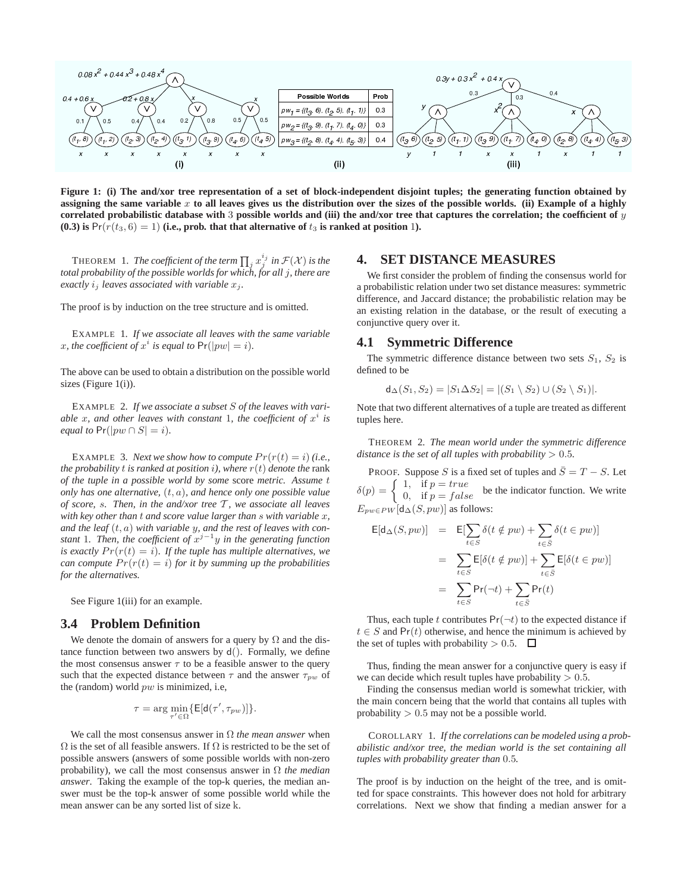

**Figure 1: (i) The and/xor tree representation of a set of block-independent disjoint tuples; the generating function obtained by** assigning the same variable x to all leaves gives us the distribution over the sizes of the possible worlds. (ii) Example of a highly **correlated probabilistic database with** 3 **possible worlds and (iii) the and/xor tree that captures the correlation; the coefficient of** y  $(0.3)$  is  $Pr(r(t_3, 6) = 1)$  (i.e., prob. that that alternative of  $t_3$  is ranked at position 1).

**THEOREM** 1. *The coefficient of the term*  $\prod_j x_j^{i_j}$  *in*  $\mathcal{F}(\mathcal{X})$  *is the total probability of the possible worlds for which, for all* j*, there are exactly*  $i_j$  *leaves associated with variable*  $x_j$ *.* 

The proof is by induction on the tree structure and is omitted.

EXAMPLE 1. *If we associate all leaves with the same variable* x, the coefficient of  $x^i$  is equal to  $Pr(|pw| = i)$ .

The above can be used to obtain a distribution on the possible world sizes (Figure 1(i)).

EXAMPLE 2. *If we associate a subset* S *of the leaves with variable* x, and other leaves with constant 1, the coefficient of  $x^i$  is *equal to*  $Pr(|pw \cap S| = i)$ .

EXAMPLE 3. *Next we show how to compute*  $Pr(r(t) = i)$  *(i.e., the probability*  $t$  *is ranked at position*  $i$ *), where*  $r(t)$  *denote the* rank *of the tuple in a possible world by some* score *metric. Assume* t *only has one alternative,* (t, a)*, and hence only one possible value of score,* s*. Then, in the and/xor tree* T *, we associate all leaves with key other than* t *and score value larger than* s *with variable* x*, and the leaf* (t, a) *with variable* y*, and the rest of leaves with constant* 1*. Then, the coefficient of* x j−1 y *in the generating function is exactly*  $Pr(r(t) = i)$ *. If the tuple has multiple alternatives, we can compute*  $Pr(r(t) = i)$  *for it by summing up the probabilities for the alternatives.*

See Figure 1(iii) for an example.

#### **3.4 Problem Definition**

We denote the domain of answers for a query by  $\Omega$  and the distance function between two answers by  $d()$ . Formally, we define the most consensus answer  $\tau$  to be a feasible answer to the query such that the expected distance between  $\tau$  and the answer  $\tau_{pw}$  of the (random) world  $pw$  is minimized, i.e,

$$
\tau = \arg\min_{\tau' \in \Omega} \{ \mathsf{E}[\mathsf{d}(\tau', \tau_{pw})] \}.
$$

We call the most consensus answer in Ω *the mean answer* when  $\Omega$  is the set of all feasible answers. If  $\Omega$  is restricted to be the set of possible answers (answers of some possible worlds with non-zero probability), we call the most consensus answer in Ω *the median answer*. Taking the example of the top-k queries, the median answer must be the top-k answer of some possible world while the mean answer can be any sorted list of size k.

# **4. SET DISTANCE MEASURES**

We first consider the problem of finding the consensus world for a probabilistic relation under two set distance measures: symmetric difference, and Jaccard distance; the probabilistic relation may be an existing relation in the database, or the result of executing a conjunctive query over it.

#### **4.1 Symmetric Difference**

The symmetric difference distance between two sets  $S_1$ ,  $S_2$  is defined to be

$$
\mathsf{d}_{\Delta}(S_1, S_2) = |S_1 \Delta S_2| = |(S_1 \setminus S_2) \cup (S_2 \setminus S_1)|.
$$

Note that two different alternatives of a tuple are treated as different tuples here.

THEOREM 2. *The mean world under the symmetric difference distance is the set of all tuples with probability* > 0.5*.*

PROOF. Suppose S is a fixed set of tuples and  $\overline{S} = T - S$ . Let  $\delta(p) = \begin{cases} 1, & \text{if } p = true \\ 0, & \text{if } p = false \end{cases}$  be the indicator function. We write  $E_{pw\in PW}$ [d∆(S, pw)] as follows:

$$
\begin{aligned} \mathsf{E}[\mathsf{d}_{\Delta}(S, pw)] &= \mathsf{E}[\sum_{t \in S} \delta(t \notin pw) + \sum_{t \in \bar{S}} \delta(t \in pw)] \\ &= \sum_{t \in S} \mathsf{E}[\delta(t \notin pw)] + \sum_{t \in \bar{S}} \mathsf{E}[\delta(t \in pw)] \\ &= \sum_{t \in S} \mathsf{Pr}(\neg t) + \sum_{t \in \bar{S}} \mathsf{Pr}(t) \end{aligned}
$$

Thus, each tuple t contributes  $Pr(\neg t)$  to the expected distance if  $t \in S$  and Pr(t) otherwise, and hence the minimum is achieved by the set of tuples with probability  $> 0.5$ .  $\Box$ 

Thus, finding the mean answer for a conjunctive query is easy if we can decide which result tuples have probability  $> 0.5$ .

Finding the consensus median world is somewhat trickier, with the main concern being that the world that contains all tuples with probability  $> 0.5$  may not be a possible world.

COROLLARY 1. *If the correlations can be modeled using a probabilistic and/xor tree, the median world is the set containing all tuples with probability greater than* 0.5*.*

The proof is by induction on the height of the tree, and is omitted for space constraints. This however does not hold for arbitrary correlations. Next we show that finding a median answer for a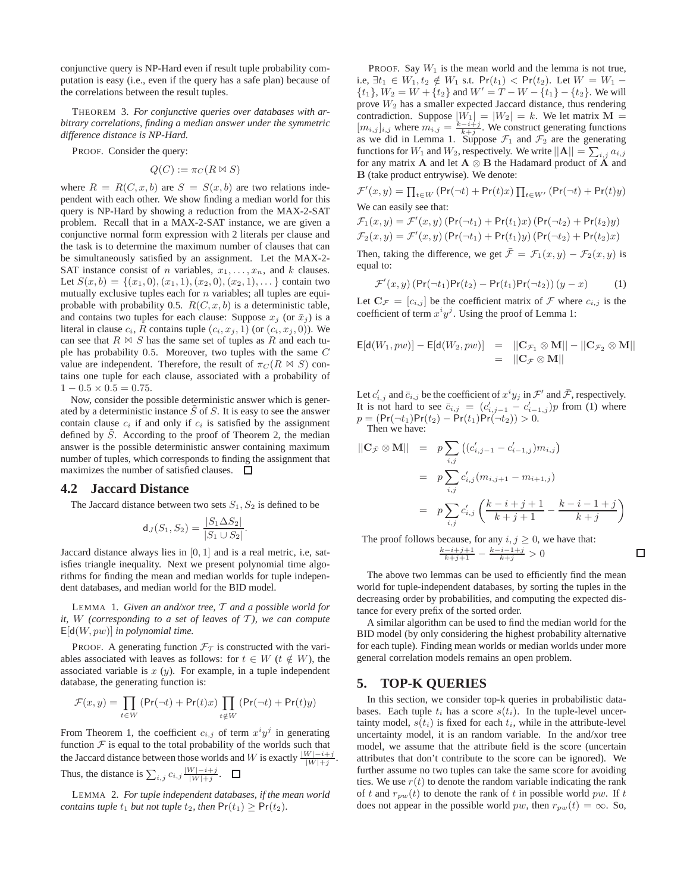conjunctive query is NP-Hard even if result tuple probability computation is easy (i.e., even if the query has a safe plan) because of the correlations between the result tuples.

THEOREM 3. *For conjunctive queries over databases with arbitrary correlations, finding a median answer under the symmetric difference distance is NP-Hard.*

PROOF. Consider the query:

$$
Q(C) := \pi_C(R \bowtie S)
$$

where  $R = R(C, x, b)$  are  $S = S(x, b)$  are two relations independent with each other. We show finding a median world for this query is NP-Hard by showing a reduction from the MAX-2-SAT problem. Recall that in a MAX-2-SAT instance, we are given a conjunctive normal form expression with 2 literals per clause and the task is to determine the maximum number of clauses that can be simultaneously satisfied by an assignment. Let the MAX-2- SAT instance consist of *n* variables,  $x_1, \ldots, x_n$ , and *k* clauses. Let  $S(x, b) = \{(x_1, 0), (x_1, 1), (x_2, 0), (x_2, 1), \dots\}$  contain two mutually exclusive tuples each for  $n$  variables; all tuples are equiprobable with probability 0.5.  $R(C, x, b)$  is a deterministic table, and contains two tuples for each clause: Suppose  $x_j$  (or  $\bar{x}_j$ ) is a literal in clause  $c_i$ , R contains tuple  $(c_i, x_j, 1)$  (or  $(c_i, x_j, 0)$ ). We can see that  $R \Join S$  has the same set of tuples as  $R$  and each tuple has probability 0.5. Moreover, two tuples with the same C value are independent. Therefore, the result of  $\pi_C(R \Join S)$  contains one tuple for each clause, associated with a probability of  $1 - 0.5 \times 0.5 = 0.75$ .

Now, consider the possible deterministic answer which is generated by a deterministic instance  $\tilde{S}$  of S. It is easy to see the answer contain clause  $c_i$  if and only if  $c_i$  is satisfied by the assignment defined by  $\tilde{S}$ . According to the proof of Theorem 2, the median answer is the possible deterministic answer containing maximum number of tuples, which corresponds to finding the assignment that maximizes the number of satisfied clauses.  $\Box$ 

# **4.2 Jaccard Distance**

The Jaccard distance between two sets  $S_1, S_2$  is defined to be

$$
d_J(S_1, S_2) = \frac{|S_1 \Delta S_2|}{|S_1 \cup S_2|}.
$$

Jaccard distance always lies in  $[0, 1]$  and is a real metric, i.e, satisfies triangle inequality. Next we present polynomial time algorithms for finding the mean and median worlds for tuple independent databases, and median world for the BID model.

LEMMA 1. *Given an and/xor tree,* T *and a possible world for it,*  $W$  (corresponding to a set of leaves of  $T$ ), we can compute E[d(W, pw)] *in polynomial time.*

PROOF. A generating function  $\mathcal{F}_T$  is constructed with the variables associated with leaves as follows: for  $t \in W$  ( $t \notin W$ ), the associated variable is  $x(y)$ . For example, in a tuple independent database, the generating function is:

$$
\mathcal{F}(x,y) = \prod_{t \in W} \left( \Pr(\neg t) + \Pr(t)x \right) \prod_{t \notin W} \left( \Pr(\neg t) + \Pr(t)y \right)
$$

From Theorem 1, the coefficient  $c_{i,j}$  of term  $x^i y^j$  in generating function  $F$  is equal to the total probability of the worlds such that the Jaccard distance between those worlds and W is exactly  $\frac{|W| - i + j}{|W| + j}$ . Thus, the distance is  $\sum_{i,j} c_{i,j} \frac{|W| - i + j}{|W| + j}$ .

LEMMA 2. *For tuple independent databases, if the mean world contains tuple*  $t_1$  *but not tuple*  $t_2$ *, then*  $Pr(t_1) \geq Pr(t_2)$ *.* 

PROOF. Say  $W_1$  is the mean world and the lemma is not true, i.e,  $\exists t_1 \in W_1, t_2 \notin W_1$  s.t.  $Pr(t_1) < Pr(t_2)$ . Let  $W = W_1$  –  ${t_1}, W_2 = W + {t_2}$  and  $W' = T - W - {t_1} - {t_2}$ . We will prove  $W_2$  has a smaller expected Jaccard distance, thus rendering contradiction. Suppose  $|W_1| = |W_2| = k$ . We let matrix  $\mathbf{M} = [m_{i,j}]_{i,j}$  where  $m_{i,j} = \frac{k-i+j}{k+j}$ . We construct generating functions as we did in Lemma 1. Suppose  $\mathcal{F}_1$  and  $\mathcal{F}_2$  are the generating functions for  $W_1$  and  $W_2$ , respectively. We write  $||\mathbf{A}|| = \sum_{i,j} a_{i,j}$ for any matrix **A** and let  $A \otimes B$  the Hadamard product of  $\tilde{A}$  and B (take product entrywise). We denote:

$$
\mathcal{F}'(x,y) = \prod_{t \in W} (\Pr(\neg t) + \Pr(t)x) \prod_{t \in W'} (\Pr(\neg t) + \Pr(t)y)
$$
  
We can easily see that:

$$
\mathcal{F}_1(x,y) = \mathcal{F}'(x,y) \left( \Pr(\neg t_1) + \Pr(t_1)x \right) \left( \Pr(\neg t_2) + \Pr(t_2)y \right)
$$
  

$$
\mathcal{F}_2(x,y) = \mathcal{F}'(x,y) \left( \Pr(\neg t_1) + \Pr(t_1)y \right) \left( \Pr(\neg t_2) + \Pr(t_2)x \right)
$$

Then, taking the difference, we get  $\overline{\mathcal{F}} = \mathcal{F}_1(x, y) - \mathcal{F}_2(x, y)$  is equal to:

$$
\mathcal{F}'(x,y)\left(\mathsf{Pr}(\neg t_1)\mathsf{Pr}(t_2) - \mathsf{Pr}(t_1)\mathsf{Pr}(\neg t_2)\right)(y-x) \tag{1}
$$

Let  $\mathbf{C}_{\mathcal{F}} = [c_{i,j}]$  be the coefficient matrix of  $\mathcal{F}$  where  $c_{i,j}$  is the coefficient of term  $x^i y^j$ . Using the proof of Lemma 1:

$$
\begin{array}{rcl} \mathsf{E}[\mathsf{d}(W_1, pw)] - \mathsf{E}[\mathsf{d}(W_2, pw)] & = & ||\mathbf{C}_{\mathcal{F}_1} \otimes \mathbf{M}|| - ||\mathbf{C}_{\mathcal{F}_2} \otimes \mathbf{M}|| \\ & = & ||\mathbf{C}_{\bar{\mathcal{F}}} \otimes \mathbf{M}|| \end{array}
$$

Let  $c'_{i,j}$  and  $\bar{c}_{i,j}$  be the coefficient of  $x^i y_j$  in  $\mathcal{F}'$  and  $\bar{\mathcal{F}}$ , respectively. It is not hard to see  $\bar{c}_{i,j} = (c'_{i,j-1} - c'_{i-1,j})p$  from (1) where  $p = (\Pr(\neg t_1)\Pr(t_2) - \Pr(t_1)\Pr(\neg t_2)) > 0.$ Then we have:

$$
\begin{aligned} ||\mathbf{C}_{\bar{\mathcal{F}}} \otimes \mathbf{M}|| &= p \sum_{i,j} \left( (c'_{i,j-1} - c'_{i-1,j}) m_{i,j} \right) \\ &= p \sum_{i,j} c'_{i,j} (m_{i,j+1} - m_{i+1,j}) \\ &= p \sum_{i,j} c'_{i,j} \left( \frac{k-i+j+1}{k+j+1} - \frac{k-i-1+j}{k+j} \right) \end{aligned}
$$

The proof follows because, for any  $i, j \ge 0$ , we have that:<br> $\frac{k-i+j+1}{k+j+1} - \frac{k-i-1+j}{k+j} > 0$ 

The above two lemmas can be used to efficiently find the mean world for tuple-independent databases, by sorting the tuples in the decreasing order by probabilities, and computing the expected distance for every prefix of the sorted order.

 $\Box$ 

A similar algorithm can be used to find the median world for the BID model (by only considering the highest probability alternative for each tuple). Finding mean worlds or median worlds under more general correlation models remains an open problem.

#### **5. TOP-K QUERIES**

In this section, we consider top-k queries in probabilistic databases. Each tuple  $t_i$  has a score  $s(t_i)$ . In the tuple-level uncertainty model,  $s(t_i)$  is fixed for each  $t_i$ , while in the attribute-level uncertainty model, it is an random variable. In the and/xor tree model, we assume that the attribute field is the score (uncertain attributes that don't contribute to the score can be ignored). We further assume no two tuples can take the same score for avoiding ties. We use  $r(t)$  to denote the random variable indicating the rank of t and  $r_{pw}(t)$  to denote the rank of t in possible world pw. If t does not appear in the possible world pw, then  $r_{pw}(t) = \infty$ . So,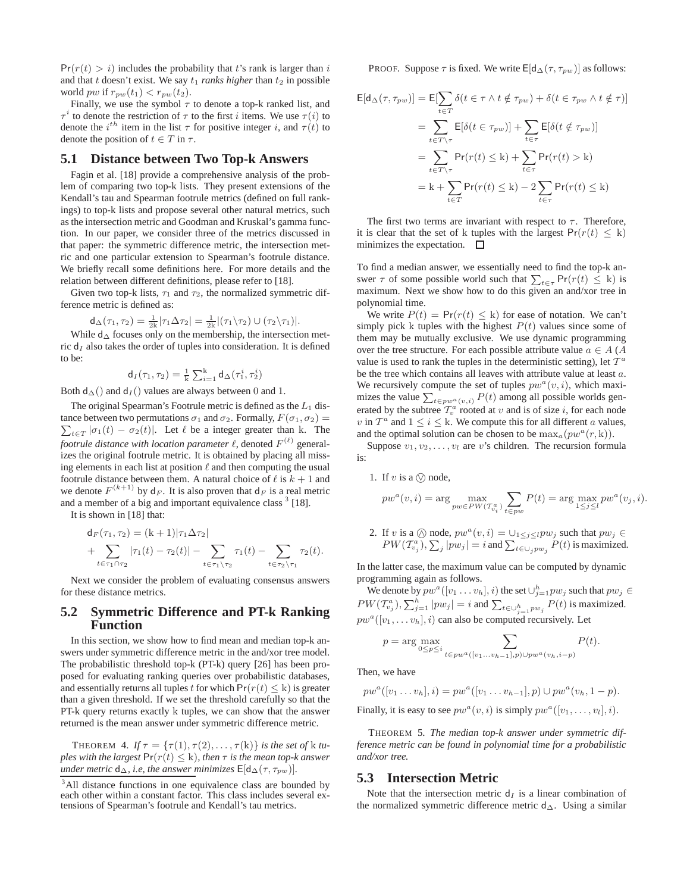$Pr(r(t) > i)$  includes the probability that t's rank is larger than i and that t doesn't exist. We say  $t_1$  *ranks higher* than  $t_2$  in possible world pw if  $r_{pw}(t_1) < r_{pw}(t_2)$ .

Finally, we use the symbol  $\tau$  to denote a top-k ranked list, and  $\tau^i$  to denote the restriction of  $\tau$  to the first *i* items. We use  $\tau(i)$  to denote the  $i^{th}$  item in the list  $\tau$  for positive integer i, and  $\tau(t)$  to denote the position of  $t \in T$  in  $\tau$ .

#### **5.1 Distance between Two Top-k Answers**

Fagin et al. [18] provide a comprehensive analysis of the problem of comparing two top-k lists. They present extensions of the Kendall's tau and Spearman footrule metrics (defined on full rankings) to top-k lists and propose several other natural metrics, such as the intersection metric and Goodman and Kruskal's gamma function. In our paper, we consider three of the metrics discussed in that paper: the symmetric difference metric, the intersection metric and one particular extension to Spearman's footrule distance. We briefly recall some definitions here. For more details and the relation between different definitions, please refer to [18].

Given two top-k lists,  $\tau_1$  and  $\tau_2$ , the normalized symmetric difference metric is defined as:

$$
\mathsf{d}_{\Delta}(\tau_1, \tau_2) = \frac{1}{2k} |\tau_1 \Delta \tau_2| = \frac{1}{2k} |(\tau_1 \backslash \tau_2) \cup (\tau_2 \backslash \tau_1)|.
$$

While d<sup>∆</sup> focuses only on the membership, the intersection metric  $d_I$  also takes the order of tuples into consideration. It is defined to be:

$$
d_I(\tau_1, \tau_2) = \frac{1}{k} \sum_{i=1}^k d_\Delta(\tau_1^i, \tau_2^i)
$$

Both  $d_{\Delta}$ () and  $d_I$ () values are always between 0 and 1.

The original Spearman's Footrule metric is defined as the  $L_1$  distance between two permutations  $\sigma_1$  and  $\sigma_2$ . Formally,  $F(\sigma_1, \sigma_2)$  =  $t \in T$   $|\sigma_1(t) - \sigma_2(t)|$ . Let  $\ell$  be a integer greater than k. The *footrule distance with location parameter*  $\ell$ *, denoted*  $F^{(\ell)}$  *general*izes the original footrule metric. It is obtained by placing all missing elements in each list at position  $\ell$  and then computing the usual footrule distance between them. A natural choice of  $\ell$  is  $k + 1$  and we denote  $F^{(k+1)}$  by  $d_F$ . It is also proven that  $d_F$  is a real metric and a member of a big and important equivalence class  $3$  [18].

It is shown in [18] that:

$$
d_F(\tau_1, \tau_2) = (k+1)|\tau_1 \Delta \tau_2|
$$
  
+ 
$$
\sum_{t \in \tau_1 \cap \tau_2} |\tau_1(t) - \tau_2(t)| - \sum_{t \in \tau_1 \setminus \tau_2} \tau_1(t) - \sum_{t \in \tau_2 \setminus \tau_1} \tau_2(t).
$$

Next we consider the problem of evaluating consensus answers for these distance metrics.

#### **5.2 Symmetric Difference and PT-k Ranking Function**

In this section, we show how to find mean and median top-k answers under symmetric difference metric in the and/xor tree model. The probabilistic threshold top-k (PT-k) query [26] has been proposed for evaluating ranking queries over probabilistic databases, and essentially returns all tuples t for which  $Pr(r(t) \leq k)$  is greater than a given threshold. If we set the threshold carefully so that the PT-k query returns exactly k tuples, we can show that the answer returned is the mean answer under symmetric difference metric.

THEOREM 4. If  $\tau = {\tau(1), \tau(2), \ldots, \tau(k)}$  *is the set of* k *tuples with the largest*  $Pr(r(t) \leq k)$ *, then*  $\tau$  *is the mean top-k answer under metric*  $d_{\Delta}$ *, i.e, the answer minimizes*  $E[d_{\Delta}(\tau, \tau_{pw})]$ *.* 

PROOF. Suppose  $\tau$  is fixed. We write  $E[d_{\Delta}(\tau, \tau_{pw})]$  as follows:

$$
E[d_{\Delta}(\tau, \tau_{pw})] = E[\sum_{t \in T} \delta(t \in \tau \wedge t \notin \tau_{pw}) + \delta(t \in \tau_{pw} \wedge t \notin \tau)]
$$
  
\n
$$
= \sum_{t \in T \setminus \tau} E[\delta(t \in \tau_{pw})] + \sum_{t \in \tau} E[\delta(t \notin \tau_{pw})]
$$
  
\n
$$
= \sum_{t \in T \setminus \tau} Pr(r(t) \le k) + \sum_{t \in \tau} Pr(r(t) > k)
$$
  
\n
$$
= k + \sum_{t \in T} Pr(r(t) \le k) - 2 \sum_{t \in \tau} Pr(r(t) \le k)
$$

The first two terms are invariant with respect to  $\tau$ . Therefore, it is clear that the set of k tuples with the largest  $Pr(r(t) \le k)$ minimizes the expectation.  $\Box$ 

To find a median answer, we essentially need to find the top-k answer  $\tau$  of some possible world such that  $\sum_{t \in \tau} \Pr(r(t) \leq k)$  is maximum. Next we show how to do this given an and/xor tree in polynomial time.

We write  $P(t) = Pr(r(t) \le k)$  for ease of notation. We can't simply pick k tuples with the highest  $P(t)$  values since some of them may be mutually exclusive. We use dynamic programming over the tree structure. For each possible attribute value  $a \in A$  (A value is used to rank the tuples in the deterministic setting), let  $\mathcal{T}^a$ be the tree which contains all leaves with attribute value at least a. We recursively compute the set of tuples  $pw^a(v, i)$ , which maximizes the value  $\sum_{t \in pw^a(v,i)} P(t)$  among all possible worlds generated by the subtree  $T_v^a$  rooted at v and is of size i, for each node v in  $T^a$  and  $1 \le i \le k$ . We compute this for all different a values, and the optimal solution can be chosen to be  $\max_a(pw^a(r, k))$ .

Suppose  $v_1, v_2, \ldots, v_l$  are v's children. The recursion formula is:

1. If 
$$
v
$$
 is a  $\circled{0}$  node,

$$
pw^a(v, i) = \arg \max_{pw \in PW(T^a_{v_i})} \sum_{t \in pw} P(t) = \arg \max_{1 \le j \le l} pw^a(v_j, i).
$$

2. If 
$$
v
$$
 is a  $\textcircled{y}$  node,  $pw^a(v, i) = \bigcup_{1 \leq j \leq l} pw_j$  such that  $pw_j \in PW(T^a_{v_j}), \sum_j |pw_j| = i$  and  $\sum_{t \in \bigcup_j pw_j} P(t)$  is maximized.

In the latter case, the maximum value can be computed by dynamic programming again as follows.

We denote by  $pw^a([v_1 \dots v_h], i)$  the set  $\cup_{j=1}^h pw_j$  such that  $pw_j \in$  $PW(\mathcal{T}_{v_j}^a), \sum_{j=1}^h |pw_j| = i$  and  $\sum_{t \in \bigcup_{j=1}^h pw_j} P(t)$  is maximized.  $pw^a([v_1,\ldots v_h],i)$  can also be computed recursively. Let

$$
p = \arg \max_{0 \le p \le i} \sum_{t \in pw^a([v_1...v_{h-1}], p) \cup pw^a(v_h, i-p)} P(t).
$$

Then, we have

$$
pw^{a}([v_1...v_h],i)=pw^{a}([v_1...v_{h-1}],p)\cup pw^{a}(v_h,1-p).
$$

Finally, it is easy to see  $pw^a(v, i)$  is simply  $pw^a([v_1, \ldots, v_l], i)$ .

THEOREM 5. *The median top-k answer under symmetric difference metric can be found in polynomial time for a probabilistic and/xor tree.*

#### **5.3 Intersection Metric**

Note that the intersection metric  $d<sub>I</sub>$  is a linear combination of the normalized symmetric difference metric d∆. Using a similar

<sup>&</sup>lt;sup>3</sup>All distance functions in one equivalence class are bounded by each other within a constant factor. This class includes several extensions of Spearman's footrule and Kendall's tau metrics.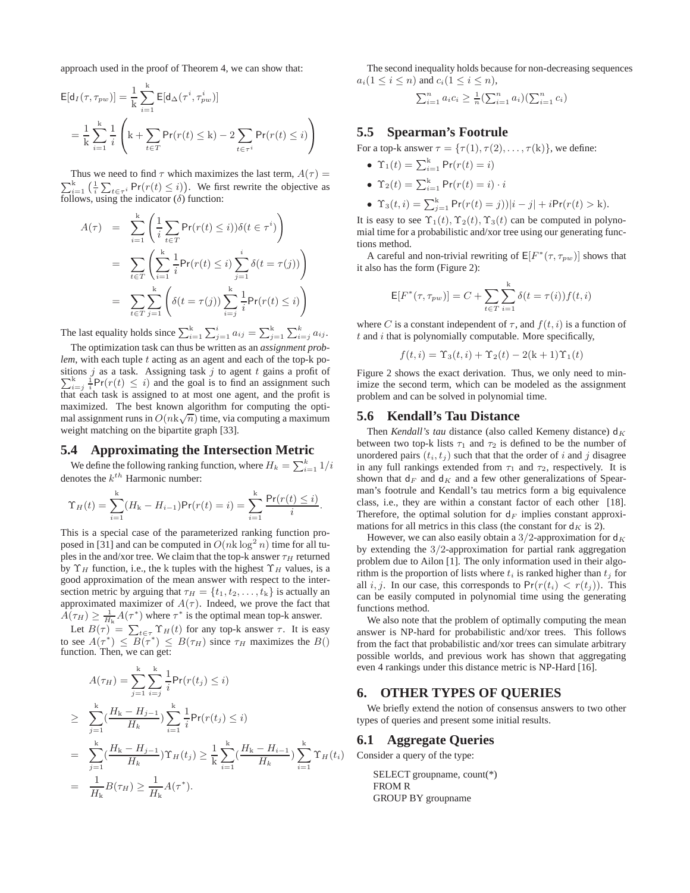approach used in the proof of Theorem 4, we can show that:

$$
E[d_T(\tau, \tau_{pw})] = \frac{1}{k} \sum_{i=1}^k E[d_{\Delta}(\tau^i, \tau_{pw}^i)]
$$
  
= 
$$
\frac{1}{k} \sum_{i=1}^k \frac{1}{i} \left( k + \sum_{t \in T} Pr(r(t) \le k) - 2 \sum_{t \in \tau^i} Pr(r(t) \le i) \right)
$$

Thus we need to find  $\tau$  which maximizes the last term,  $A(\tau) =$  $\sum_{i=1}^k \left(\frac{1}{i} \sum_{t \in \tau_i} Pr(r(t) \leq i)\right)$ . We first rewrite the objective as follows, using the indicator  $(\delta)$  function:

$$
A(\tau) = \sum_{i=1}^{k} \left( \frac{1}{i} \sum_{t \in T} \Pr(r(t) \le i)) \delta(t \in \tau^{i}) \right)
$$
  
= 
$$
\sum_{t \in T} \left( \sum_{i=1}^{k} \frac{1}{i} \Pr(r(t) \le i) \sum_{j=1}^{i} \delta(t = \tau(j)) \right)
$$
  
= 
$$
\sum_{t \in T} \sum_{j=1}^{k} \left( \delta(t = \tau(j)) \sum_{i=j}^{k} \frac{1}{i} \Pr(r(t) \le i) \right)
$$

The last equality holds since  $\sum_{i=1}^k \sum_{j=1}^i a_{ij} = \sum_{j=1}^k \sum_{i=j}^k a_{ij}$ .

The optimization task can thus be written as an *assignment prob-* $$  $\sum_{i=j}^{k} \frac{1}{i} \Pr(r(t) \leq i)$  and the goal is to find an assignment such sitions  $j$  as a task. Assigning task  $j$  to agent  $t$  gains a profit of that each task is assigned to at most one agent, and the profit is maximized. The best known algorithm for computing the optimal assignment runs in  $O(nk\sqrt{n})$  time, via computing a maximum weight matching on the bipartite graph [33].

# **5.4 Approximating the Intersection Metric**

We define the following ranking function, where  $H_k = \sum_{i=1}^k 1/i$ denotes the  $k^{th}$  Harmonic number:

$$
\Upsilon_H(t) = \sum_{i=1}^k (H_k - H_{i-1}) \Pr(r(t) = i) = \sum_{i=1}^k \frac{\Pr(r(t) \leq i)}{i}.
$$

This is a special case of the parameterized ranking function proposed in [31] and can be computed in  $O(nk \log^2 n)$  time for all tuples in the and/xor tree. We claim that the top-k answer  $\tau_H$  returned by  $\Upsilon_H$  function, i.e., the k tuples with the highest  $\Upsilon_H$  values, is a good approximation of the mean answer with respect to the intersection metric by arguing that  $\tau_H = \{t_1, t_2, \ldots, t_k\}$  is actually an approximated maximizer of  $A(\tau)$ . Indeed, we prove the fact that  $\overline{A(\tau_H)} \geq \frac{1}{H_k} A(\tau^*)$  where  $\tau^*$  is the optimal mean top-k answer.

Let  $B(\tau) = \sum_{t \in \tau} \Upsilon_H(t)$  for any top-k answer  $\tau$ . It is easy to see  $A(\tau^*) \leq B(\tau^*) \leq B(\tau_H)$  since  $\tau_H$  maximizes the  $B($ ) function. Then, we can get:

$$
A(\tau_H) = \sum_{j=1}^{k} \sum_{i=j}^{k} \frac{1}{i} Pr(r(t_j) \leq i)
$$
  
\n
$$
\geq \sum_{j=1}^{k} (\frac{H_k - H_{j-1}}{H_k}) \sum_{i=1}^{k} \frac{1}{i} Pr(r(t_j) \leq i)
$$
  
\n
$$
= \sum_{j=1}^{k} (\frac{H_k - H_{j-1}}{H_k}) \Upsilon_H(t_j) \geq \frac{1}{k} \sum_{i=1}^{k} (\frac{H_k - H_{i-1}}{H_k}) \sum_{i=1}^{k} \Upsilon_H(t_i)
$$
  
\n
$$
= \frac{1}{H_k} B(\tau_H) \geq \frac{1}{H_k} A(\tau^*).
$$

The second inequality holds because for non-decreasing sequences  $a_i(1 \leq i \leq n)$  and  $c_i(1 \leq i \leq n)$ ,

$$
\sum_{i=1}^{n} a_i c_i \geq \frac{1}{n} \left( \sum_{i=1}^{n} a_i \right) \left( \sum_{i=1}^{n} c_i \right)
$$

# **5.5 Spearman's Footrule**

For a top-k answer  $\tau = {\tau(1), \tau(2), \ldots, \tau(k)}$ , we define:

- $\Upsilon_1(t) = \sum_{i=1}^k \Pr(r(t) = i)$
- $\Upsilon_2(t) = \sum_{i=1}^k \Pr(r(t) = i) \cdot i$
- $\Upsilon_3(t, i) = \sum_{j=1}^k \Pr(r(t) = j) |i j| + i \Pr(r(t) > k).$

It is easy to see  $\Upsilon_1(t)$ ,  $\Upsilon_2(t)$ ,  $\Upsilon_3(t)$  can be computed in polynomial time for a probabilistic and/xor tree using our generating functions method.

A careful and non-trivial rewriting of  $E[F^*(\tau, \tau_{pw})]$  shows that it also has the form (Figure 2):

$$
E[F^*(\tau, \tau_{pw})] = C + \sum_{t \in T} \sum_{i=1}^{k} \delta(t = \tau(i)) f(t, i)
$$

where C is a constant independent of  $\tau$ , and  $f(t, i)$  is a function of  $t$  and  $i$  that is polynomially computable. More specifically,

$$
f(t, i) = \Upsilon_3(t, i) + \Upsilon_2(t) - 2(k + 1)\Upsilon_1(t)
$$

Figure 2 shows the exact derivation. Thus, we only need to minimize the second term, which can be modeled as the assignment problem and can be solved in polynomial time.

#### **5.6 Kendall's Tau Distance**

Then *Kendall's tau* distance (also called Kemeny distance)  $d_K$ between two top-k lists  $\tau_1$  and  $\tau_2$  is defined to be the number of unordered pairs  $(t_i, t_j)$  such that that the order of i and j disagree in any full rankings extended from  $\tau_1$  and  $\tau_2$ , respectively. It is shown that  $d_F$  and  $d_K$  and a few other generalizations of Spearman's footrule and Kendall's tau metrics form a big equivalence class, i.e., they are within a constant factor of each other [18]. Therefore, the optimal solution for  $d_F$  implies constant approximations for all metrics in this class (the constant for  $d_K$  is 2).

However, we can also easily obtain a 3/2-approximation for  $d<sub>K</sub>$ by extending the 3/2-approximation for partial rank aggregation problem due to Ailon [1]. The only information used in their algorithm is the proportion of lists where  $t_i$  is ranked higher than  $t_i$  for all i, j. In our case, this corresponds to  $Pr(r(t_i) < r(t_i))$ . This can be easily computed in polynomial time using the generating functions method.

We also note that the problem of optimally computing the mean answer is NP-hard for probabilistic and/xor trees. This follows from the fact that probabilistic and/xor trees can simulate arbitrary possible worlds, and previous work has shown that aggregating even 4 rankings under this distance metric is NP-Hard [16].

#### **6. OTHER TYPES OF QUERIES**

We briefly extend the notion of consensus answers to two other types of queries and present some initial results.

#### **6.1 Aggregate Queries**

Consider a query of the type:

SELECT groupname, count(\*) FROM R GROUP BY groupname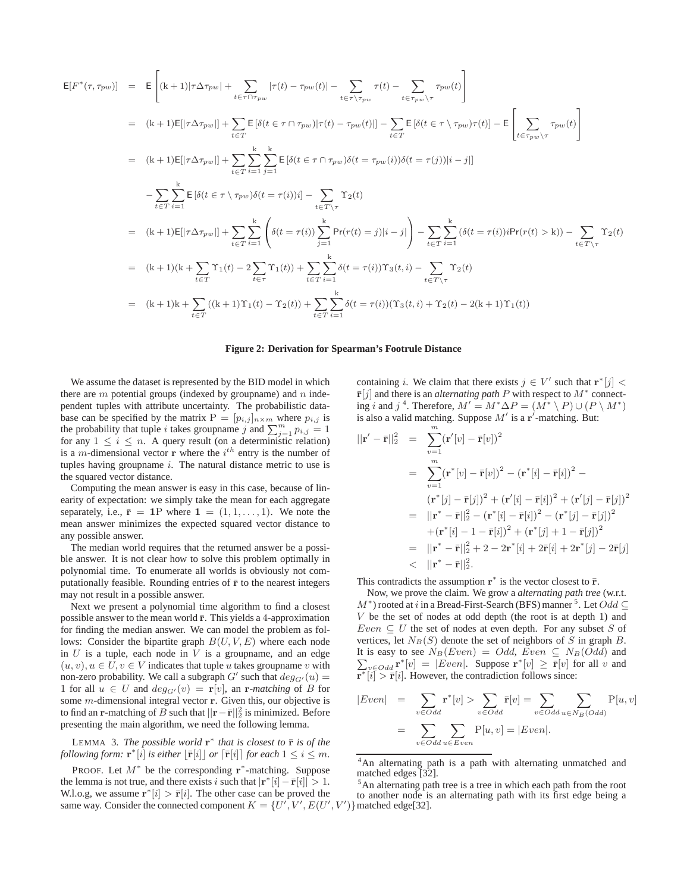$$
\mathsf{E}[F^{*}(\tau,\tau_{pw})] = \mathsf{E}\left[(k+1)|\tau\Delta\tau_{pw}| + \sum_{t\in\tau\cap\tau_{pw}}|\tau(t)-\tau_{pw}(t)| - \sum_{t\in\tau\setminus\tau_{pw}}\tau(t)-\sum_{t\in\tau_{pw}\setminus\tau}\tau_{pw}(t)\right]
$$
\n
$$
= (k+1)\mathsf{E}[|\tau\Delta\tau_{pw}|] + \sum_{t\in T}\mathsf{E}\left[\delta(t\in\tau\cap\tau_{pw})|\tau(t)-\tau_{pw}(t)|\right] - \sum_{t\in T}\mathsf{E}\left[\delta(t\in\tau\setminus\tau_{pw})\tau(t)\right] - \mathsf{E}\left[\sum_{t\in\tau_{pw}\setminus\tau}\tau_{pw}(t)\right]
$$
\n
$$
= (k+1)\mathsf{E}[|\tau\Delta\tau_{pw}|] + \sum_{t\in T}\sum_{i=1}^{k}\sum_{j=1}^{k}\mathsf{E}\left[\delta(t\in\tau\cap\tau_{pw})\delta(t=\tau_{pw}(i))\delta(t=\tau(j))|i-j|\right]
$$
\n
$$
- \sum_{t\in T}\sum_{i=1}^{k}\mathsf{E}\left[\delta(t\in\tau\setminus\tau_{pw})\delta(t=\tau(i))i\right] - \sum_{t\in T\setminus\tau}\Upsilon_{2}(t)
$$
\n
$$
= (k+1)\mathsf{E}[|\tau\Delta\tau_{pw}|] + \sum_{t\in T}\sum_{i=1}^{k}\left(\delta(t=\tau(i))\sum_{j=1}^{k}\Pr(r(t)=j)|i-j|\right) - \sum_{t\in T}\sum_{i=1}^{k}(\delta(t=\tau(i))i\Pr(r(t)>k)) - \sum_{t\in T\setminus\tau}\Upsilon_{2}(t)
$$
\n
$$
= (k+1)(k+\sum_{t\in T}\Upsilon_{1}(t)-2\sum_{t\in\tau}\Upsilon_{1}(t))+\sum_{t\in T}\sum_{i=1}^{k}\delta(t=\tau(i))\Upsilon_{3}(t,i)-\sum_{t\in T\setminus\tau}\Upsilon_{2}(t)
$$
\n
$$
= (k+1)k+\sum_{t\in T}((k+1)\Upsilon_{1}(t)-\Upsilon_{2}(t))+\sum_{t\in T}\sum_{i=1}^{k}\delta(t=\tau(i))(\Upsilon_{3}(t,i)+\Upsilon_{2}(t)-2(k+1)\Upsilon_{1}(t
$$

#### **Figure 2: Derivation for Spearman's Footrule Distance**

We assume the dataset is represented by the BID model in which there are  $m$  potential groups (indexed by groupname) and  $n$  independent tuples with attribute uncertainty. The probabilistic database can be specified by the matrix  $P = [p_{i,j}]_{n \times m}$  where  $p_{i,j}$  is the probability that tuple *i* takes groupname *j* and  $\sum_{j=1}^{m} p_{i,j} = 1$ for any  $1 \leq i \leq n$ . A query result (on a deterministic relation) is a m-dimensional vector **r** where the  $i^{th}$  entry is the number of tuples having groupname  $i$ . The natural distance metric to use is the squared vector distance.

<sup>2</sup>

Computing the mean answer is easy in this case, because of linearity of expectation: we simply take the mean for each aggregate separately, i.e.,  $\bar{\mathbf{r}} = 1\mathbf{P}$  where  $\mathbf{1} = (1, 1, \ldots, 1)$ . We note the mean answer minimizes the expected squared vector distance to any possible answer.

The median world requires that the returned answer be a possible answer. It is not clear how to solve this problem optimally in polynomial time. To enumerate all worlds is obviously not computationally feasible. Rounding entries of  $\bar{r}$  to the nearest integers may not result in a possible answer.

Next we present a polynomial time algorithm to find a closest possible answer to the mean world  $\bar{r}$ . This yields a 4-approximation for finding the median answer. We can model the problem as follows: Consider the bipartite graph  $B(U, V, E)$  where each node in  $U$  is a tuple, each node in  $V$  is a groupname, and an edge  $(u, v), u \in U, v \in V$  indicates that tuple u takes groupname v with non-zero probability. We call a subgraph  $G'$  such that  $deg_{G'}(u) =$ 1 for all  $u \in U$  and  $deg_{G'}(v) = \mathbf{r}[v]$ , an r-matching of B for some m-dimensional integral vector r. Given this, our objective is to find an r-matching of B such that  $||\mathbf{r} - \bar{\mathbf{r}}||_2^2$  is minimized. Before presenting the main algorithm, we need the following lemma.

LEMMA 3. The possible world  $\mathbf{r}^*$  that is closest to  $\bar{\mathbf{r}}$  is of the *following form:*  $\mathbf{r}^*[\mathbf{i}]$  *is either*  $\lfloor \bar{\mathbf{r}}[\mathbf{i}] \rfloor$  *or*  $\lceil \bar{\mathbf{r}}[\mathbf{i}] \rceil$  *for each*  $1 \leq \mathbf{i} \leq \mathbf{m}$ .

PROOF. Let  $M^*$  be the corresponding  $\mathbf{r}^*$ -matching. Suppose the lemma is not true, and there exists i such that  $|r^*[i] - \bar{r}[i]| > 1$ . W.l.o.g, we assume  $\mathbf{r}^*[i] > \bar{\mathbf{r}}[i]$ . The other case can be proved the same way. Consider the connected component  $K = \{U', V', E(U', V')\}$  matched edge[32].

containing *i*. We claim that there exists  $j \in V'$  such that  $\mathbf{r}^*[j]$  <  $\bar{\mathbf{r}}[j]$  and there is an *alternating path* P with respect to  $M^*$  connecting *i* and *j*<sup>4</sup>. Therefore,  $M' = M^* \Delta P = (M^* \setminus P) \cup (P \setminus M^*)$ is also a valid matching. Suppose  $M'$  is a r<sup>'</sup>-matching. But:

- 1

$$
||\mathbf{r}' - \bar{\mathbf{r}}||_2^2 = \sum_{v=1}^m (\mathbf{r}'[v] - \bar{\mathbf{r}}[v])^2
$$
  
\n
$$
= \sum_{v=1}^m (\mathbf{r}^*[v] - \bar{\mathbf{r}}[v])^2 - (\mathbf{r}^*[i] - \bar{\mathbf{r}}[i])^2 - (\mathbf{r}^*[j] - \bar{\mathbf{r}}[i])^2 + (\mathbf{r}'[j] - \bar{\mathbf{r}}[j])^2 + (\mathbf{r}'[j] - \bar{\mathbf{r}}[j])^2
$$
  
\n
$$
= ||\mathbf{r}^* - \bar{\mathbf{r}}||_2^2 - (\mathbf{r}^*[i] - \bar{\mathbf{r}}[i])^2 - (\mathbf{r}^*[j] - \bar{\mathbf{r}}[j])^2
$$
  
\n
$$
+ (\mathbf{r}^*[i] - 1 - \bar{\mathbf{r}}[i])^2 + (\mathbf{r}^*[j] + 1 - \bar{\mathbf{r}}[j])^2
$$
  
\n
$$
= ||\mathbf{r}^* - \bar{\mathbf{r}}||_2^2 + 2 - 2\mathbf{r}^*[i] + 2\bar{\mathbf{r}}[i] + 2\mathbf{r}^*[j] - 2\bar{\mathbf{r}}[j]
$$
  
\n
$$
< ||\mathbf{r}^* - \bar{\mathbf{r}}||_2^2.
$$

This contradicts the assumption  $\mathbf{r}^*$  is the vector closest to  $\bar{\mathbf{r}}$ .

Now, we prove the claim. We grow a *alternating path tree* (w.r.t.  $M^*$ ) rooted at *i* in a Bread-First-Search (BFS) manner <sup>5</sup>. Let  $Odd \subseteq$ V be the set of nodes at odd depth (the root is at depth 1) and  $Even \subseteq U$  the set of nodes at even depth. For any subset S of vertices, let  $N_B(S)$  denote the set of neighbors of S in graph B. It is easy to see  $N_B(Even) = Odd$ ,  $Even \subseteq N_B(Odd)$  and  $\sum_{v \in Odd} \mathbf{r}^* [v] = |Even|$ . Suppose  $\mathbf{r}^* [v] \ge \bar{\mathbf{r}} [v]$  for all v and  $\mathbf{r}^* [i] > \bar{\mathbf{r}} [i]$ . However, the contradiction follows since:

$$
|Even| = \sum_{v \in Odd} \mathbf{r}^* [v] > \sum_{v \in Odd} \bar{\mathbf{r}} [v] = \sum_{v \in Odd} \sum_{u \in N_B(Odd)} P[u, v]
$$

$$
= \sum_{v \in Odd} \sum_{u \in Even} P[u, v] = |Even|.
$$

<sup>4</sup>An alternating path is a path with alternating unmatched and matched edges [32].

<sup>5</sup>An alternating path tree is a tree in which each path from the root to another node is an alternating path with its first edge being a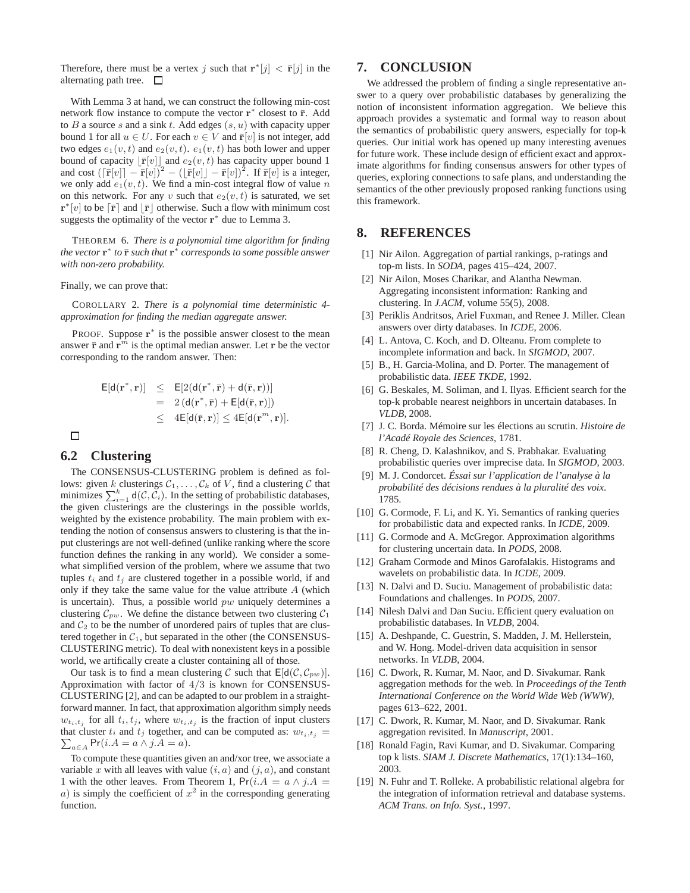Therefore, there must be a vertex j such that  $\mathbf{r}^* [j] < \bar{\mathbf{r}} [j]$  in the alternating path tree.  $\Box$ 

With Lemma 3 at hand, we can construct the following min-cost network flow instance to compute the vector  $\mathbf{r}^*$  closest to  $\bar{\mathbf{r}}$ . Add to  $B$  a source  $s$  and a sink  $t$ . Add edges  $(s, u)$  with capacity upper bound 1 for all  $u \in U$ . For each  $v \in V$  and  $\bar{\mathbf{r}}[v]$  is not integer, add two edges  $e_1(v, t)$  and  $e_2(v, t)$ .  $e_1(v, t)$  has both lower and upper bound of capacity  $|\bar{\mathbf{r}}[v]|$  and  $e_2(v, t)$  has capacity upper bound 1 and cost  $([\mathbf{r}[v]] - \mathbf{r}[v]]^2 - ([\mathbf{r}[v]] - \mathbf{r}[v])^2$ . If  $\mathbf{r}[v]$  is a integer, we only add  $e_1(v, t)$ . We find a min-cost integral flow of value n on this network. For any v such that  $e_2(v, t)$  is saturated, we set  $\mathbf{r}^*[v]$  to be  $\lceil \bar{\mathbf{r}} \rceil$  and  $\lfloor \bar{\mathbf{r}} \rfloor$  otherwise. Such a flow with minimum cost suggests the optimality of the vector  $\mathbf{r}^*$  due to Lemma 3.

THEOREM 6. *There is a polynomial time algorithm for finding the vector* **r**<sup>\*</sup> *to* **r**<sub></sub> *such that* **r**<sup>\*</sup> *corresponds to some possible answer with non-zero probability.*

Finally, we can prove that:

COROLLARY 2. *There is a polynomial time deterministic 4 approximation for finding the median aggregate answer.*

PROOF. Suppose  $r^*$  is the possible answer closest to the mean answer  $\bar{\mathbf{r}}$  and  $\mathbf{r}^m$  is the optimal median answer. Let r be the vector corresponding to the random answer. Then:

$$
\begin{array}{rcl} \mathsf{E}[d(\mathbf{r}^*,\mathbf{r})] & \leq & \mathsf{E}[2(d(\mathbf{r}^*,\bar{\mathbf{r}})+d(\bar{\mathbf{r}},\mathbf{r}))] \\ & = & 2\left(d(\mathbf{r}^*,\bar{\mathbf{r}})+\mathsf{E}[d(\bar{\mathbf{r}},\mathbf{r})]\right) \\ & \leq & 4\mathsf{E}[d(\bar{\mathbf{r}},\mathbf{r})] \leq 4\mathsf{E}[d(\mathbf{r}^m,\mathbf{r})]. \end{array}
$$

#### $\Box$

# **6.2 Clustering**

The CONSENSUS-CLUSTERING problem is defined as follows: given k clusterings  $C_1, \ldots, C_k$  of V, find a clustering C that minimizes  $\sum_{i=1}^{k} d(C, C_i)$ . In the setting of probabilistic databases, the given clusterings are the clusterings in the possible worlds, weighted by the existence probability. The main problem with extending the notion of consensus answers to clustering is that the input clusterings are not well-defined (unlike ranking where the score function defines the ranking in any world). We consider a somewhat simplified version of the problem, where we assume that two tuples  $t_i$  and  $t_j$  are clustered together in a possible world, if and only if they take the same value for the value attribute  $A$  (which is uncertain). Thus, a possible world  $pw$  uniquely determines a clustering  $C_{pw}$ . We define the distance between two clustering  $C_1$ and  $C_2$  to be the number of unordered pairs of tuples that are clustered together in  $C_1$ , but separated in the other (the CONSENSUS-CLUSTERING metric). To deal with nonexistent keys in a possible world, we artifically create a cluster containing all of those.

Our task is to find a mean clustering C such that  $E[d(\mathcal{C}, \mathcal{C}_{vw})]$ . Approximation with factor of 4/3 is known for CONSENSUS-CLUSTERING [2], and can be adapted to our problem in a straightforward manner. In fact, that approximation algorithm simply needs  $w_{t_i,t_j}$  for all  $t_i, t_j$ , where  $w_{t_i,t_j}$  is the fraction of input clusters that cluster  $t_i$  and  $t_j$  together, and can be computed as:  $w_{t_i,t_j} =$  $\sum_{a \in A} \Pr(i.A = a \land j.A = a).$ 

To compute these quantities given an and/xor tree, we associate a variable x with all leaves with value  $(i, a)$  and  $(j, a)$ , and constant 1 with the other leaves. From Theorem 1,  $Pr(i.A = a \land j.A =$ a) is simply the coefficient of  $x^2$  in the corresponding generating function.

# **7. CONCLUSION**

We addressed the problem of finding a single representative answer to a query over probabilistic databases by generalizing the notion of inconsistent information aggregation. We believe this approach provides a systematic and formal way to reason about the semantics of probabilistic query answers, especially for top-k queries. Our initial work has opened up many interesting avenues for future work. These include design of efficient exact and approximate algorithms for finding consensus answers for other types of queries, exploring connections to safe plans, and understanding the semantics of the other previously proposed ranking functions using this framework.

# **8. REFERENCES**

- [1] Nir Ailon. Aggregation of partial rankings, p-ratings and top-m lists. In *SODA*, pages 415–424, 2007.
- [2] Nir Ailon, Moses Charikar, and Alantha Newman. Aggregating inconsistent information: Ranking and clustering. In *J.ACM*, volume 55(5), 2008.
- [3] Periklis Andritsos, Ariel Fuxman, and Renee J. Miller. Clean answers over dirty databases. In *ICDE*, 2006.
- [4] L. Antova, C. Koch, and D. Olteanu. From complete to incomplete information and back. In *SIGMOD*, 2007.
- [5] B., H. Garcia-Molina, and D. Porter. The management of probabilistic data. *IEEE TKDE*, 1992.
- [6] G. Beskales, M. Soliman, and I. Ilyas. Efficient search for the top-k probable nearest neighbors in uncertain databases. In *VLDB*, 2008.
- [7] J. C. Borda. Mémoire sur les élections au scrutin. *Histoire de l'Acadé Royale des Sciences*, 1781.
- [8] R. Cheng, D. Kalashnikov, and S. Prabhakar. Evaluating probabilistic queries over imprecise data. In *SIGMOD*, 2003.
- [9] M. J. Condorcet. *Éssai sur l'application de l'analyse à la probabilité des décisions rendues à la pluralité des voix*. 1785.
- [10] G. Cormode, F. Li, and K. Yi. Semantics of ranking queries for probabilistic data and expected ranks. In *ICDE*, 2009.
- [11] G. Cormode and A. McGregor. Approximation algorithms for clustering uncertain data. In *PODS*, 2008.
- [12] Graham Cormode and Minos Garofalakis. Histograms and wavelets on probabilistic data. In *ICDE*, 2009.
- [13] N. Dalvi and D. Suciu. Management of probabilistic data: Foundations and challenges. In *PODS*, 2007.
- [14] Nilesh Dalvi and Dan Suciu. Efficient query evaluation on probabilistic databases. In *VLDB*, 2004.
- [15] A. Deshpande, C. Guestrin, S. Madden, J. M. Hellerstein, and W. Hong. Model-driven data acquisition in sensor networks. In *VLDB*, 2004.
- [16] C. Dwork, R. Kumar, M. Naor, and D. Sivakumar. Rank aggregation methods for the web. In *Proceedings of the Tenth International Conference on the World Wide Web (WWW)*, pages 613–622, 2001.
- [17] C. Dwork, R. Kumar, M. Naor, and D. Sivakumar. Rank aggregation revisited. In *Manuscript*, 2001.
- [18] Ronald Fagin, Ravi Kumar, and D. Sivakumar. Comparing top k lists. *SIAM J. Discrete Mathematics*, 17(1):134–160, 2003.
- [19] N. Fuhr and T. Rolleke. A probabilistic relational algebra for the integration of information retrieval and database systems. *ACM Trans. on Info. Syst.*, 1997.